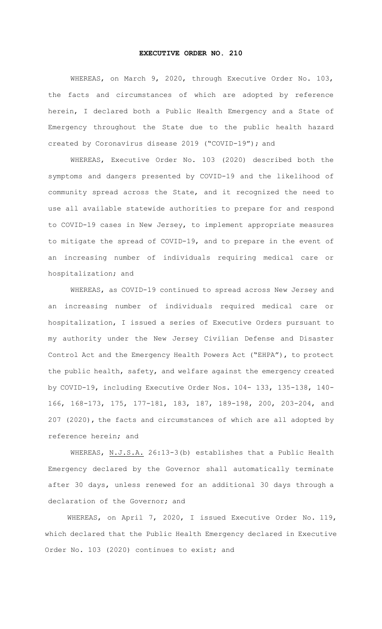## **EXECUTIVE ORDER NO. 210**

WHEREAS, on March 9, 2020, through Executive Order No. 103, the facts and circumstances of which are adopted by reference herein, I declared both a Public Health Emergency and a State of Emergency throughout the State due to the public health hazard created by Coronavirus disease 2019 ("COVID-19"); and

WHEREAS, Executive Order No. 103 (2020) described both the symptoms and dangers presented by COVID-19 and the likelihood of community spread across the State, and it recognized the need to use all available statewide authorities to prepare for and respond to COVID-19 cases in New Jersey, to implement appropriate measures to mitigate the spread of COVID-19, and to prepare in the event of an increasing number of individuals requiring medical care or hospitalization; and

WHEREAS, as COVID-19 continued to spread across New Jersey and an increasing number of individuals required medical care or hospitalization, I issued a series of Executive Orders pursuant to my authority under the New Jersey Civilian Defense and Disaster Control Act and the Emergency Health Powers Act ("EHPA"), to protect the public health, safety, and welfare against the emergency created by COVID-19, including Executive Order Nos. 104- 133, 135-138, 140- 166, 168-173, 175, 177-181, 183, 187, 189-198, 200, 203-204, and 207 (2020), the facts and circumstances of which are all adopted by reference herein; and

WHEREAS, N.J.S.A. 26:13-3(b) establishes that a Public Health Emergency declared by the Governor shall automatically terminate after 30 days, unless renewed for an additional 30 days through a declaration of the Governor; and

WHEREAS, on April 7, 2020, I issued Executive Order No. 119, which declared that the Public Health Emergency declared in Executive Order No. 103 (2020) continues to exist; and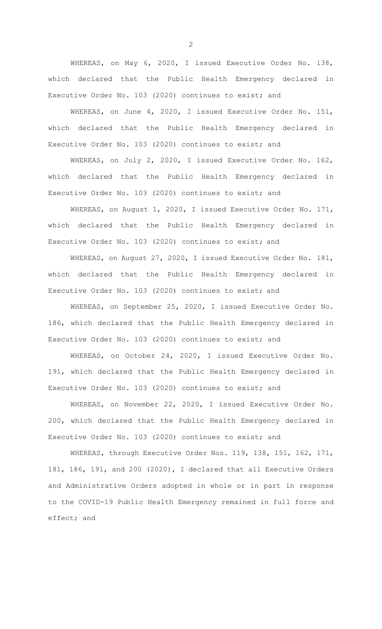WHEREAS, on May 6, 2020, I issued Executive Order No. 138, which declared that the Public Health Emergency declared in Executive Order No. 103 (2020) continues to exist; and

WHEREAS, on June 4, 2020, I issued Executive Order No. 151, which declared that the Public Health Emergency declared in Executive Order No. 103 (2020) continues to exist; and

WHEREAS, on July 2, 2020, I issued Executive Order No. 162, which declared that the Public Health Emergency declared in Executive Order No. 103 (2020) continues to exist; and

WHEREAS, on August 1, 2020, I issued Executive Order No. 171, which declared that the Public Health Emergency declared in Executive Order No. 103 (2020) continues to exist; and

WHEREAS, on August 27, 2020, I issued Executive Order No. 181, which declared that the Public Health Emergency declared in Executive Order No. 103 (2020) continues to exist; and

WHEREAS, on September 25, 2020, I issued Executive Order No. 186, which declared that the Public Health Emergency declared in Executive Order No. 103 (2020) continues to exist; and

WHEREAS, on October 24, 2020, I issued Executive Order No. 191, which declared that the Public Health Emergency declared in Executive Order No. 103 (2020) continues to exist; and

WHEREAS, on November 22, 2020, I issued Executive Order No. 200, which declared that the Public Health Emergency declared in Executive Order No. 103 (2020) continues to exist; and

WHEREAS, through Executive Order Nos. 119, 138, 151, 162, 171, 181, 186, 191, and 200 (2020), I declared that all Executive Orders and Administrative Orders adopted in whole or in part in response to the COVID-19 Public Health Emergency remained in full force and effect; and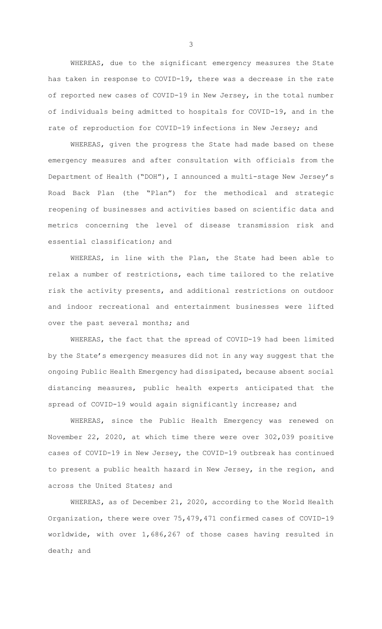WHEREAS, due to the significant emergency measures the State has taken in response to COVID-19, there was a decrease in the rate of reported new cases of COVID-19 in New Jersey, in the total number of individuals being admitted to hospitals for COVID-19, and in the rate of reproduction for COVID-19 infections in New Jersey; and

WHEREAS, given the progress the State had made based on these emergency measures and after consultation with officials from the Department of Health ("DOH"), I announced a multi-stage New Jersey's Road Back Plan (the "Plan") for the methodical and strategic reopening of businesses and activities based on scientific data and metrics concerning the level of disease transmission risk and essential classification; and

WHEREAS, in line with the Plan, the State had been able to relax a number of restrictions, each time tailored to the relative risk the activity presents, and additional restrictions on outdoor and indoor recreational and entertainment businesses were lifted over the past several months; and

WHEREAS, the fact that the spread of COVID-19 had been limited by the State's emergency measures did not in any way suggest that the ongoing Public Health Emergency had dissipated, because absent social distancing measures, public health experts anticipated that the spread of COVID-19 would again significantly increase; and

WHEREAS, since the Public Health Emergency was renewed on November 22, 2020, at which time there were over 302,039 positive cases of COVID-19 in New Jersey, the COVID-19 outbreak has continued to present a public health hazard in New Jersey, in the region, and across the United States; and

WHEREAS, as of December 21, 2020, according to the World Health Organization, there were over 75,479,471 confirmed cases of COVID-19 worldwide, with over 1,686,267 of those cases having resulted in death; and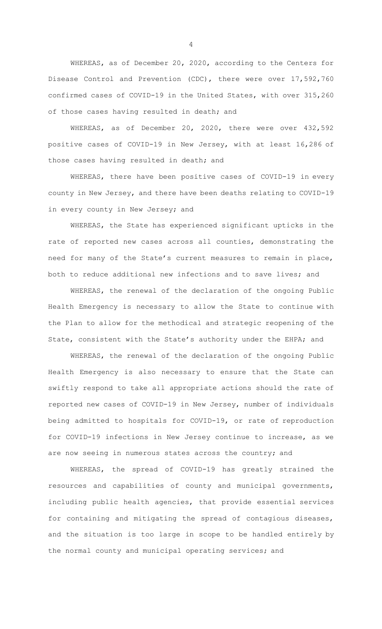WHEREAS, as of December 20, 2020, according to the Centers for Disease Control and Prevention (CDC), there were over 17,592,760 confirmed cases of COVID-19 in the United States, with over 315,260 of those cases having resulted in death; and

WHEREAS, as of December 20, 2020, there were over 432,592 positive cases of COVID-19 in New Jersey, with at least 16,286 of those cases having resulted in death; and

WHEREAS, there have been positive cases of COVID-19 in every county in New Jersey, and there have been deaths relating to COVID-19 in every county in New Jersey; and

WHEREAS, the State has experienced significant upticks in the rate of reported new cases across all counties, demonstrating the need for many of the State's current measures to remain in place, both to reduce additional new infections and to save lives; and

WHEREAS, the renewal of the declaration of the ongoing Public Health Emergency is necessary to allow the State to continue with the Plan to allow for the methodical and strategic reopening of the State, consistent with the State's authority under the EHPA; and

WHEREAS, the renewal of the declaration of the ongoing Public Health Emergency is also necessary to ensure that the State can swiftly respond to take all appropriate actions should the rate of reported new cases of COVID-19 in New Jersey, number of individuals being admitted to hospitals for COVID-19, or rate of reproduction for COVID-19 infections in New Jersey continue to increase, as we are now seeing in numerous states across the country; and

WHEREAS, the spread of COVID-19 has greatly strained the resources and capabilities of county and municipal governments, including public health agencies, that provide essential services for containing and mitigating the spread of contagious diseases, and the situation is too large in scope to be handled entirely by the normal county and municipal operating services; and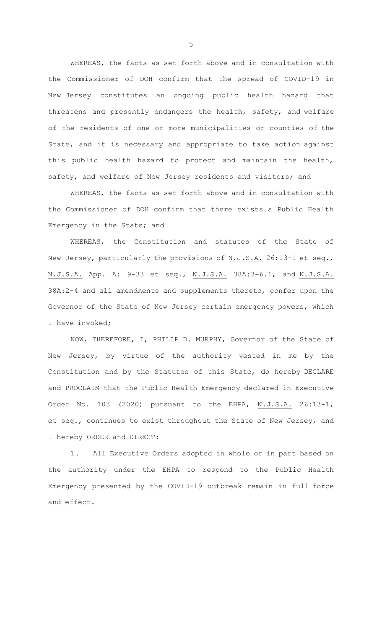WHEREAS, the facts as set forth above and in consultation with the Commissioner of DOH confirm that the spread of COVID-19 in New Jersey constitutes an ongoing public health hazard that threatens and presently endangers the health, safety, and welfare of the residents of one or more municipalities or counties of the State, and it is necessary and appropriate to take action against this public health hazard to protect and maintain the health, safety, and welfare of New Jersey residents and visitors; and

WHEREAS, the facts as set forth above and in consultation with the Commissioner of DOH confirm that there exists a Public Health Emergency in the State; and

WHEREAS, the Constitution and statutes of the State of New Jersey, particularly the provisions of N.J.S.A. 26:13-1 et seq., N.J.S.A. App. A: 9-33 et seq., N.J.S.A. 38A:3-6.1, and N.J.S.A. 38A:2-4 and all amendments and supplements thereto, confer upon the Governor of the State of New Jersey certain emergency powers, which I have invoked;

NOW, THEREFORE, I, PHILIP D. MURPHY, Governor of the State of New Jersey, by virtue of the authority vested in me by the Constitution and by the Statutes of this State, do hereby DECLARE and PROCLAIM that the Public Health Emergency declared in Executive Order No. 103 (2020) pursuant to the EHPA, N.J.S.A. 26:13-1, et seq., continues to exist throughout the State of New Jersey, and I hereby ORDER and DIRECT:

1. All Executive Orders adopted in whole or in part based on the authority under the EHPA to respond to the Public Health Emergency presented by the COVID-19 outbreak remain in full force and effect.